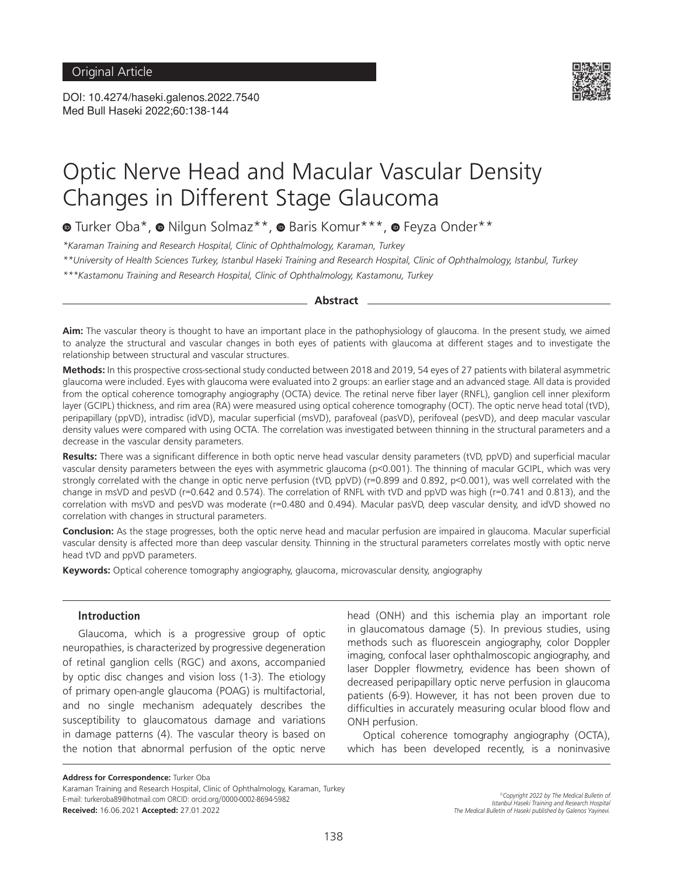DOI: 10.4274/haseki.galenos.2022.7540 Med Bull Haseki 2022;60:138-144



# Optic Nerve Head and Macular Vascular Density Changes in Different Stage Glaucoma

 $\bullet$ Turker Oba\*,  $\bullet$  Nilgun Solmaz\*\*,  $\bullet$  Baris Komur\*\*\*,  $\bullet$  Feyza Onder\*\*

*\*Karaman Training and Research Hospital, Clinic of Ophthalmology, Karaman, Turkey*

*\*\*University of Health Sciences Turkey, Istanbul Haseki Training and Research Hospital, Clinic of Ophthalmology, Istanbul, Turkey*

*\*\*\*Kastamonu Training and Research Hospital, Clinic of Ophthalmology, Kastamonu, Turkey*

#### **Abstract**

**Aim:** The vascular theory is thought to have an important place in the pathophysiology of glaucoma. In the present study, we aimed to analyze the structural and vascular changes in both eyes of patients with glaucoma at different stages and to investigate the relationship between structural and vascular structures.

**Methods:** In this prospective cross-sectional study conducted between 2018 and 2019, 54 eyes of 27 patients with bilateral asymmetric glaucoma were included. Eyes with glaucoma were evaluated into 2 groups: an earlier stage and an advanced stage. All data is provided from the optical coherence tomography angiography (OCTA) device. The retinal nerve fiber layer (RNFL), ganglion cell inner plexiform layer (GCIPL) thickness, and rim area (RA) were measured using optical coherence tomography (OCT). The optic nerve head total (tVD), peripapillary (ppVD), intradisc (idVD), macular superficial (msVD), parafoveal (pasVD), perifoveal (pesVD), and deep macular vascular density values were compared with using OCTA. The correlation was investigated between thinning in the structural parameters and a decrease in the vascular density parameters.

**Results:** There was a significant difference in both optic nerve head vascular density parameters (tVD, ppVD) and superficial macular vascular density parameters between the eyes with asymmetric glaucoma (p<0.001). The thinning of macular GCIPL, which was very strongly correlated with the change in optic nerve perfusion (tVD, ppVD) (r=0.899 and 0.892, p<0.001), was well correlated with the change in msVD and pesVD (r=0.642 and 0.574). The correlation of RNFL with tVD and ppVD was high (r=0.741 and 0.813), and the correlation with msVD and pesVD was moderate (r=0.480 and 0.494). Macular pasVD, deep vascular density, and idVD showed no correlation with changes in structural parameters.

**Conclusion:** As the stage progresses, both the optic nerve head and macular perfusion are impaired in glaucoma. Macular superficial vascular density is affected more than deep vascular density. Thinning in the structural parameters correlates mostly with optic nerve head tVD and ppVD parameters.

**Keywords:** Optical coherence tomography angiography, glaucoma, microvascular density, angiography

#### **Introduction**

Glaucoma, which is a progressive group of optic neuropathies, is characterized by progressive degeneration of retinal ganglion cells (RGC) and axons, accompanied by optic disc changes and vision loss (1-3). The etiology of primary open-angle glaucoma (POAG) is multifactorial, and no single mechanism adequately describes the susceptibility to glaucomatous damage and variations in damage patterns (4). The vascular theory is based on the notion that abnormal perfusion of the optic nerve head (ONH) and this ischemia play an important role in glaucomatous damage (5). In previous studies, using methods such as fluorescein angiography, color Doppler imaging, confocal laser ophthalmoscopic angiography, and laser Doppler flowmetry, evidence has been shown of decreased peripapillary optic nerve perfusion in glaucoma patients (6-9). However, it has not been proven due to difficulties in accurately measuring ocular blood flow and ONH perfusion.

Optical coherence tomography angiography (OCTA), which has been developed recently, is a noninvasive

Karaman Training and Research Hospital, Clinic of Ophthalmology, Karaman, Turkey E-mail: turkeroba89@hotmail.com ORCID: orcid.org/0000-0002-8694-5982 **Received:** 16.06.2021 **Accepted:** 27.01.2022

**Address for Correspondence:** Turker Oba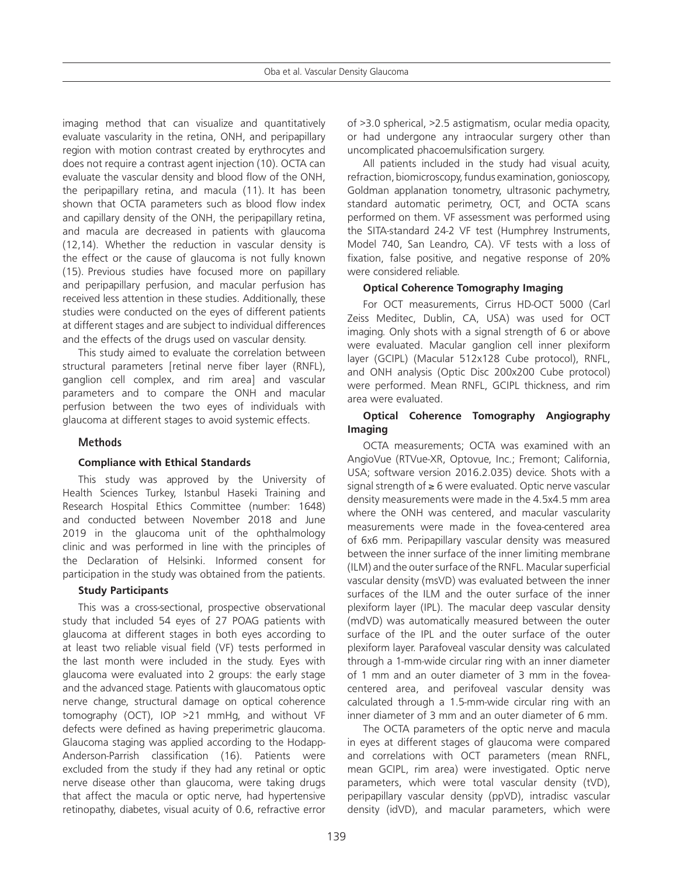imaging method that can visualize and quantitatively evaluate vascularity in the retina, ONH, and peripapillary region with motion contrast created by erythrocytes and does not require a contrast agent injection (10). OCTA can evaluate the vascular density and blood flow of the ONH, the peripapillary retina, and macula (11). It has been shown that OCTA parameters such as blood flow index and capillary density of the ONH, the peripapillary retina, and macula are decreased in patients with glaucoma (12,14). Whether the reduction in vascular density is the effect or the cause of glaucoma is not fully known (15). Previous studies have focused more on papillary and peripapillary perfusion, and macular perfusion has received less attention in these studies. Additionally, these studies were conducted on the eyes of different patients at different stages and are subject to individual differences and the effects of the drugs used on vascular density.

This study aimed to evaluate the correlation between structural parameters [retinal nerve fiber layer (RNFL), ganglion cell complex, and rim area] and vascular parameters and to compare the ONH and macular perfusion between the two eyes of individuals with glaucoma at different stages to avoid systemic effects.

## **Methods**

## **Compliance with Ethical Standards**

This study was approved by the University of Health Sciences Turkey, Istanbul Haseki Training and Research Hospital Ethics Committee (number: 1648) and conducted between November 2018 and June 2019 in the glaucoma unit of the ophthalmology clinic and was performed in line with the principles of the Declaration of Helsinki. Informed consent for participation in the study was obtained from the patients.

## **Study Participants**

This was a cross-sectional, prospective observational study that included 54 eyes of 27 POAG patients with glaucoma at different stages in both eyes according to at least two reliable visual field (VF) tests performed in the last month were included in the study. Eyes with glaucoma were evaluated into 2 groups: the early stage and the advanced stage. Patients with glaucomatous optic nerve change, structural damage on optical coherence tomography (OCT), IOP >21 mmHg, and without VF defects were defined as having preperimetric glaucoma. Glaucoma staging was applied according to the Hodapp-Anderson-Parrish classification (16). Patients were excluded from the study if they had any retinal or optic nerve disease other than glaucoma, were taking drugs that affect the macula or optic nerve, had hypertensive retinopathy, diabetes, visual acuity of 0.6, refractive error

of >3.0 spherical, >2.5 astigmatism, ocular media opacity, or had undergone any intraocular surgery other than uncomplicated phacoemulsification surgery.

All patients included in the study had visual acuity, refraction, biomicroscopy, fundus examination, gonioscopy, Goldman applanation tonometry, ultrasonic pachymetry, standard automatic perimetry, OCT, and OCTA scans performed on them. VF assessment was performed using the SITA-standard 24-2 VF test (Humphrey Instruments, Model 740, San Leandro, CA). VF tests with a loss of fixation, false positive, and negative response of 20% were considered reliable.

## **Optical Coherence Tomography Imaging**

For OCT measurements, Cirrus HD-OCT 5000 (Carl Zeiss Meditec, Dublin, CA, USA) was used for OCT imaging. Only shots with a signal strength of 6 or above were evaluated. Macular ganglion cell inner plexiform layer (GCIPL) (Macular 512x128 Cube protocol), RNFL, and ONH analysis (Optic Disc 200x200 Cube protocol) were performed. Mean RNFL, GCIPL thickness, and rim area were evaluated.

## **Optical Coherence Tomography Angiography Imaging**

OCTA measurements; OCTA was examined with an AngioVue (RTVue-XR, Optovue, Inc.; Fremont; California, USA; software version 2016.2.035) device. Shots with a signal strength of ≥ 6 were evaluated. Optic nerve vascular density measurements were made in the 4.5x4.5 mm area where the ONH was centered, and macular vascularity measurements were made in the fovea-centered area of 6x6 mm. Peripapillary vascular density was measured between the inner surface of the inner limiting membrane (ILM) and the outer surface of the RNFL. Macular superficial vascular density (msVD) was evaluated between the inner surfaces of the ILM and the outer surface of the inner plexiform layer (IPL). The macular deep vascular density (mdVD) was automatically measured between the outer surface of the IPL and the outer surface of the outer plexiform layer. Parafoveal vascular density was calculated through a 1-mm-wide circular ring with an inner diameter of 1 mm and an outer diameter of 3 mm in the foveacentered area, and perifoveal vascular density was calculated through a 1.5-mm-wide circular ring with an inner diameter of 3 mm and an outer diameter of 6 mm.

The OCTA parameters of the optic nerve and macula in eyes at different stages of glaucoma were compared and correlations with OCT parameters (mean RNFL, mean GCIPL, rim area) were investigated. Optic nerve parameters, which were total vascular density (tVD), peripapillary vascular density (ppVD), intradisc vascular density (idVD), and macular parameters, which were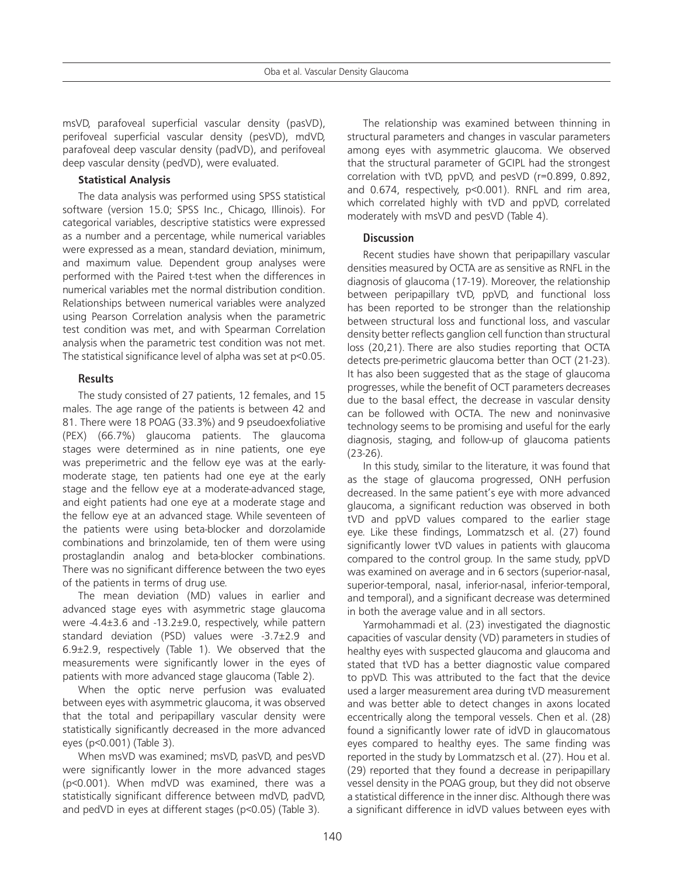msVD, parafoveal superficial vascular density (pasVD), perifoveal superficial vascular density (pesVD), mdVD, parafoveal deep vascular density (padVD), and perifoveal deep vascular density (pedVD), were evaluated.

## **Statistical Analysis**

The data analysis was performed using SPSS statistical software (version 15.0; SPSS Inc., Chicago, Illinois). For categorical variables, descriptive statistics were expressed as a number and a percentage, while numerical variables were expressed as a mean, standard deviation, minimum, and maximum value. Dependent group analyses were performed with the Paired t-test when the differences in numerical variables met the normal distribution condition. Relationships between numerical variables were analyzed using Pearson Correlation analysis when the parametric test condition was met, and with Spearman Correlation analysis when the parametric test condition was not met. The statistical significance level of alpha was set at p<0.05.

## **Results**

The study consisted of 27 patients, 12 females, and 15 males. The age range of the patients is between 42 and 81. There were 18 POAG (33.3%) and 9 pseudoexfoliative (PEX) (66.7%) glaucoma patients. The glaucoma stages were determined as in nine patients, one eye was preperimetric and the fellow eye was at the earlymoderate stage, ten patients had one eye at the early stage and the fellow eye at a moderate-advanced stage, and eight patients had one eye at a moderate stage and the fellow eye at an advanced stage. While seventeen of the patients were using beta-blocker and dorzolamide combinations and brinzolamide, ten of them were using prostaglandin analog and beta-blocker combinations. There was no significant difference between the two eyes of the patients in terms of drug use.

The mean deviation (MD) values in earlier and advanced stage eyes with asymmetric stage glaucoma were -4.4±3.6 and -13.2±9.0, respectively, while pattern standard deviation (PSD) values were -3.7±2.9 and 6.9±2.9, respectively (Table 1). We observed that the measurements were significantly lower in the eyes of patients with more advanced stage glaucoma (Table 2).

When the optic nerve perfusion was evaluated between eyes with asymmetric glaucoma, it was observed that the total and peripapillary vascular density were statistically significantly decreased in the more advanced eyes (p<0.001) (Table 3).

When msVD was examined; msVD, pasVD, and pesVD were significantly lower in the more advanced stages (p<0.001). When mdVD was examined, there was a statistically significant difference between mdVD, padVD, and pedVD in eyes at different stages (p<0.05) (Table 3).

The relationship was examined between thinning in structural parameters and changes in vascular parameters among eyes with asymmetric glaucoma. We observed that the structural parameter of GCIPL had the strongest correlation with tVD, ppVD, and pesVD (r=0.899, 0.892, and 0.674, respectively, p<0.001). RNFL and rim area, which correlated highly with tVD and ppVD, correlated moderately with msVD and pesVD (Table 4).

## **Discussion**

Recent studies have shown that peripapillary vascular densities measured by OCTA are as sensitive as RNFL in the diagnosis of glaucoma (17-19). Moreover, the relationship between peripapillary tVD, ppVD, and functional loss has been reported to be stronger than the relationship between structural loss and functional loss, and vascular density better reflects ganglion cell function than structural loss (20,21). There are also studies reporting that OCTA detects pre-perimetric glaucoma better than OCT (21-23). It has also been suggested that as the stage of glaucoma progresses, while the benefit of OCT parameters decreases due to the basal effect, the decrease in vascular density can be followed with OCTA. The new and noninvasive technology seems to be promising and useful for the early diagnosis, staging, and follow-up of glaucoma patients (23-26).

In this study, similar to the literature, it was found that as the stage of glaucoma progressed, ONH perfusion decreased. In the same patient's eye with more advanced glaucoma, a significant reduction was observed in both tVD and ppVD values compared to the earlier stage eye. Like these findings, Lommatzsch et al. (27) found significantly lower tVD values in patients with glaucoma compared to the control group. In the same study, ppVD was examined on average and in 6 sectors (superior-nasal, superior-temporal, nasal, inferior-nasal, inferior-temporal, and temporal), and a significant decrease was determined in both the average value and in all sectors.

Yarmohammadi et al. (23) investigated the diagnostic capacities of vascular density (VD) parameters in studies of healthy eyes with suspected glaucoma and glaucoma and stated that tVD has a better diagnostic value compared to ppVD. This was attributed to the fact that the device used a larger measurement area during tVD measurement and was better able to detect changes in axons located eccentrically along the temporal vessels. Chen et al. (28) found a significantly lower rate of idVD in glaucomatous eyes compared to healthy eyes. The same finding was reported in the study by Lommatzsch et al. (27). Hou et al. (29) reported that they found a decrease in peripapillary vessel density in the POAG group, but they did not observe a statistical difference in the inner disc. Although there was a significant difference in idVD values between eyes with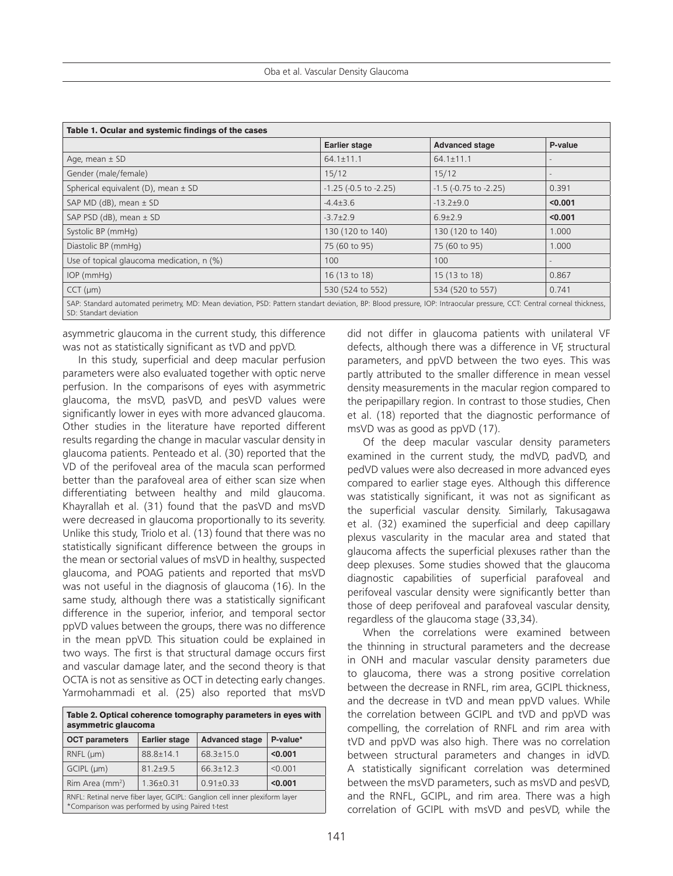| Table 1. Ocular and systemic findings of the cases                                                                                                                     |                               |                               |         |  |
|------------------------------------------------------------------------------------------------------------------------------------------------------------------------|-------------------------------|-------------------------------|---------|--|
|                                                                                                                                                                        | <b>Earlier stage</b>          | <b>Advanced stage</b>         | P-value |  |
| Age, mean $\pm$ SD                                                                                                                                                     | $64.1 \pm 11.1$               | $64.1 \pm 11.1$               |         |  |
| Gender (male/female)                                                                                                                                                   | 15/12                         | 15/12                         |         |  |
| Spherical equivalent (D), mean $\pm$ SD                                                                                                                                | $-1.25$ ( $-0.5$ to $-2.25$ ) | $-1.5$ ( $-0.75$ to $-2.25$ ) | 0.391   |  |
| SAP MD (dB), mean $\pm$ SD                                                                                                                                             | $-4.4 \pm 3.6$                | $-13.2 \pm 9.0$               | < 0.001 |  |
| SAP PSD (dB), mean ± SD                                                                                                                                                | $-3.7 \pm 2.9$                | $6.9{\pm}2.9$                 | < 0.001 |  |
| Systolic BP (mmHg)                                                                                                                                                     | 130 (120 to 140)              | 130 (120 to 140)              | 1.000   |  |
| Diastolic BP (mmHg)                                                                                                                                                    | 75 (60 to 95)                 | 75 (60 to 95)                 | 1.000   |  |
| Use of topical glaucoma medication, n (%)                                                                                                                              | 100                           | 100                           |         |  |
| $IOP$ (mm $Hq$ )                                                                                                                                                       | 16 (13 to 18)                 | 15 (13 to 18)                 | 0.867   |  |
| $CCT$ ( $\mu$ m)                                                                                                                                                       | 530 (524 to 552)              | 534 (520 to 557)              | 0.741   |  |
| SAP: Standard automated perimetry, MD: Mean deviation, PSD: Pattern standart deviation, BP: Blood pressure, IOP: Intraocular pressure, CCT: Central corneal thickness, |                               |                               |         |  |

SD: Standart deviation

asymmetric glaucoma in the current study, this difference was not as statistically significant as tVD and ppVD.

In this study, superficial and deep macular perfusion parameters were also evaluated together with optic nerve perfusion. In the comparisons of eyes with asymmetric glaucoma, the msVD, pasVD, and pesVD values were significantly lower in eyes with more advanced glaucoma. Other studies in the literature have reported different results regarding the change in macular vascular density in glaucoma patients. Penteado et al. (30) reported that the VD of the perifoveal area of the macula scan performed better than the parafoveal area of either scan size when differentiating between healthy and mild glaucoma. Khayrallah et al. (31) found that the pasVD and msVD were decreased in glaucoma proportionally to its severity. Unlike this study, Triolo et al. (13) found that there was no statistically significant difference between the groups in the mean or sectorial values of msVD in healthy, suspected glaucoma, and POAG patients and reported that msVD was not useful in the diagnosis of glaucoma (16). In the same study, although there was a statistically significant difference in the superior, inferior, and temporal sector ppVD values between the groups, there was no difference in the mean ppVD. This situation could be explained in two ways. The first is that structural damage occurs first and vascular damage later, and the second theory is that OCTA is not as sensitive as OCT in detecting early changes. Yarmohammadi et al. (25) also reported that msVD

| Table 2. Optical coherence tomography parameters in eyes with<br>asymmetric glaucoma                                            |                      |                       |          |  |
|---------------------------------------------------------------------------------------------------------------------------------|----------------------|-----------------------|----------|--|
| <b>OCT</b> parameters                                                                                                           | <b>Earlier stage</b> | <b>Advanced stage</b> | P-value* |  |
| $RNFL$ ( $µm$ )                                                                                                                 | $88.8 \pm 14.1$      | $68.3 \pm 15.0$       | < 0.001  |  |
| $GCIPL$ ( $µm$ )                                                                                                                | $81.2 + 9.5$         | $66.3 \pm 12.3$       | < 0.001  |  |
| Rim Area (mm <sup>2</sup> )                                                                                                     | $1.36\pm0.31$        | $0.91 \pm 0.33$       | < 0.001  |  |
| RNFL: Retinal nerve fiber layer, GCIPL: Ganglion cell inner plexiform layer<br>*Comparison was performed by using Paired t-test |                      |                       |          |  |

did not differ in glaucoma patients with unilateral VF defects, although there was a difference in VF, structural parameters, and ppVD between the two eyes. This was partly attributed to the smaller difference in mean vessel density measurements in the macular region compared to the peripapillary region. In contrast to those studies, Chen et al. (18) reported that the diagnostic performance of msVD was as good as ppVD (17).

Of the deep macular vascular density parameters examined in the current study, the mdVD, padVD, and pedVD values were also decreased in more advanced eyes compared to earlier stage eyes. Although this difference was statistically significant, it was not as significant as the superficial vascular density. Similarly, Takusagawa et al. (32) examined the superficial and deep capillary plexus vascularity in the macular area and stated that glaucoma affects the superficial plexuses rather than the deep plexuses. Some studies showed that the glaucoma diagnostic capabilities of superficial parafoveal and perifoveal vascular density were significantly better than those of deep perifoveal and parafoveal vascular density, regardless of the glaucoma stage (33,34).

When the correlations were examined between the thinning in structural parameters and the decrease in ONH and macular vascular density parameters due to glaucoma, there was a strong positive correlation between the decrease in RNFL, rim area, GCIPL thickness, and the decrease in tVD and mean ppVD values. While the correlation between GCIPL and tVD and ppVD was compelling, the correlation of RNFL and rim area with tVD and ppVD was also high. There was no correlation between structural parameters and changes in idVD. A statistically significant correlation was determined between the msVD parameters, such as msVD and pesVD, and the RNFL, GCIPL, and rim area. There was a high correlation of GCIPL with msVD and pesVD, while the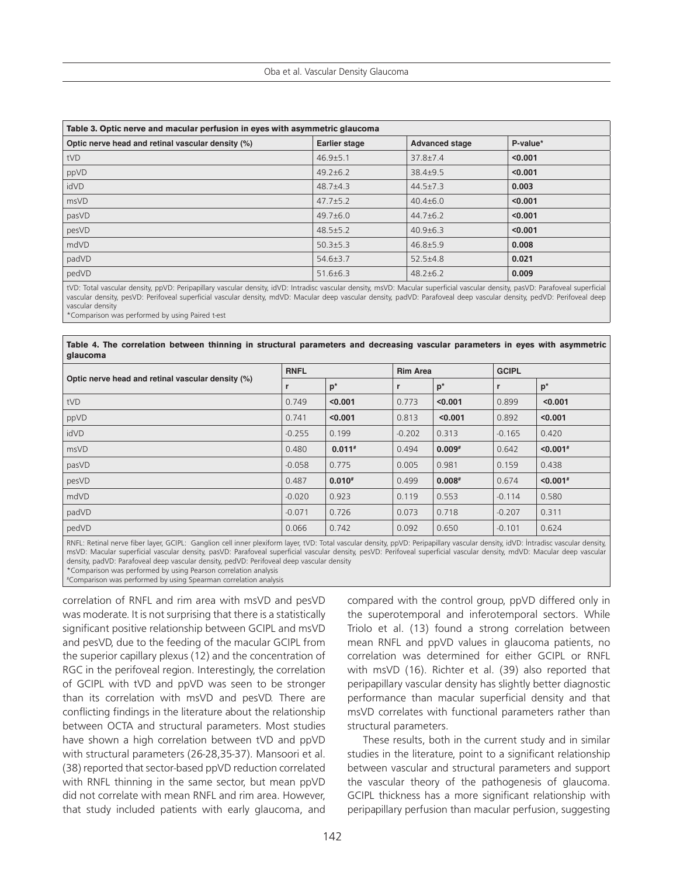| Table 3. Optic nerve and macular perfusion in eyes with asymmetric glaucoma |                                               |                |          |  |
|-----------------------------------------------------------------------------|-----------------------------------------------|----------------|----------|--|
| Optic nerve head and retinal vascular density (%)                           | <b>Earlier stage</b><br><b>Advanced stage</b> |                | P-value* |  |
| tVD                                                                         | $46.9 \pm 5.1$                                | $37.8 \pm 7.4$ | < 0.001  |  |
| ppVD                                                                        | $49.2 \pm 6.2$                                | $38.4 \pm 9.5$ | < 0.001  |  |
| idVD                                                                        | $48.7 + 4.3$                                  | $44.5 \pm 7.3$ | 0.003    |  |
| msVD                                                                        | $47.7 \pm 5.2$                                | $40.4 \pm 6.0$ | < 0.001  |  |
| pasVD                                                                       | $49.7\pm 6.0$                                 | $44.7 \pm 6.2$ | < 0.001  |  |
| pesVD                                                                       | $48.5 \pm 5.2$                                | $40.9 \pm 6.3$ | < 0.001  |  |
| mdVD                                                                        | $50.3 \pm 5.3$                                | $46.8 \pm 5.9$ | 0.008    |  |
| padVD                                                                       | $54.6 \pm 3.7$                                | $52.5 \pm 4.8$ | 0.021    |  |
| pedVD                                                                       | $51.6 \pm 6.3$                                | $48.2 \pm 6.2$ | 0.009    |  |

tVD: Total vascular density, ppVD: Peripapillary vascular density, idVD: Intradisc vascular density, msVD: Macular superficial vascular density, pasVD: Parafoveal superficial vascular density, pesVD: Perifoveal superficial vascular density, mdVD: Macular deep vascular density, padVD: Parafoveal deep vascular density, pedVD: Perifoveal deep vascular density

\*Comparison was performed by using Paired t-est

#### **Table 4. The correlation between thinning in structural parameters and decreasing vascular parameters in eyes with asymmetric glaucoma**

| Optic nerve head and retinal vascular density (%) | <b>RNFL</b> |          | <b>Rim Area</b> |          | <b>GCIPL</b> |                        |
|---------------------------------------------------|-------------|----------|-----------------|----------|--------------|------------------------|
|                                                   |             | $p^*$    |                 | $p^*$    |              | $p^*$                  |
| tVD                                               | 0.749       | < 0.001  | 0.773           | < 0.001  | 0.899        | < 0.001                |
| ppVD                                              | 0.741       | < 0.001  | 0.813           | < 0.001  | 0.892        | < 0.001                |
| idVD                                              | $-0.255$    | 0.199    | $-0.202$        | 0.313    | $-0.165$     | 0.420                  |
| msVD                                              | 0.480       | $0.011*$ | 0.494           | $0.009*$ | 0.642        | $< 0.001$ <sup>#</sup> |
| pasVD                                             | $-0.058$    | 0.775    | 0.005           | 0.981    | 0.159        | 0.438                  |
| pesVD                                             | 0.487       | $0.010*$ | 0.499           | $0.008*$ | 0.674        | $< 0.001$ <sup>#</sup> |
| mdVD                                              | $-0.020$    | 0.923    | 0.119           | 0.553    | $-0.114$     | 0.580                  |
| padVD                                             | $-0.071$    | 0.726    | 0.073           | 0.718    | $-0.207$     | 0.311                  |
| pedVD                                             | 0.066       | 0.742    | 0.092           | 0.650    | $-0.101$     | 0.624                  |

RNFL: Retinal nerve fiber layer, GCIPL: Ganglion cell inner plexiform layer, tVD: Total vascular density, ppVD: Peripapillary vascular density, idVD: İntradisc vascular density, msVD: Macular superficial vascular density, pasVD: Parafoveal superficial vascular density, pesVD: Perifoveal superficial vascular density, mdVD: Macular deep vascular density, padVD: Parafoveal deep vascular density, pedVD: Perifoveal deep vascular density \*Comparison was performed by using Pearson correlation analysis

# Comparison was performed by using Spearman correlation analysis

correlation of RNFL and rim area with msVD and pesVD was moderate. It is not surprising that there is a statistically significant positive relationship between GCIPL and msVD and pesVD, due to the feeding of the macular GCIPL from the superior capillary plexus (12) and the concentration of RGC in the perifoveal region. Interestingly, the correlation of GCIPL with tVD and ppVD was seen to be stronger than its correlation with msVD and pesVD. There are conflicting findings in the literature about the relationship between OCTA and structural parameters. Most studies have shown a high correlation between tVD and ppVD with structural parameters (26-28,35-37). Mansoori et al. (38) reported that sector-based ppVD reduction correlated with RNFL thinning in the same sector, but mean ppVD did not correlate with mean RNFL and rim area. However, that study included patients with early glaucoma, and

compared with the control group, ppVD differed only in the superotemporal and inferotemporal sectors. While Triolo et al. (13) found a strong correlation between mean RNFL and ppVD values in glaucoma patients, no correlation was determined for either GCIPL or RNFL with msVD (16). Richter et al. (39) also reported that peripapillary vascular density has slightly better diagnostic performance than macular superficial density and that msVD correlates with functional parameters rather than structural parameters.

These results, both in the current study and in similar studies in the literature, point to a significant relationship between vascular and structural parameters and support the vascular theory of the pathogenesis of glaucoma. GCIPL thickness has a more significant relationship with peripapillary perfusion than macular perfusion, suggesting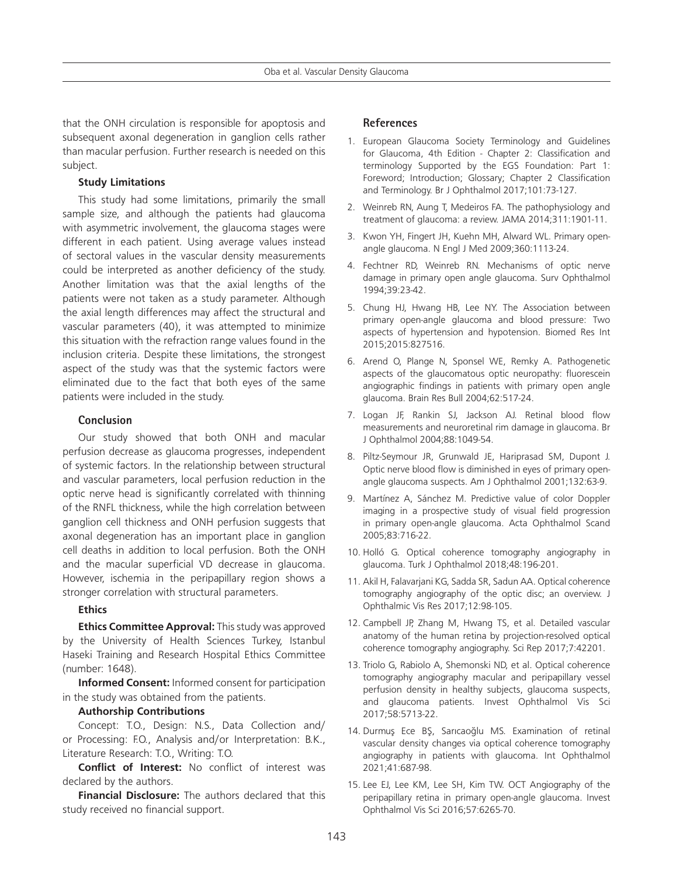that the ONH circulation is responsible for apoptosis and subsequent axonal degeneration in ganglion cells rather than macular perfusion. Further research is needed on this subject.

#### **Study Limitations**

This study had some limitations, primarily the small sample size, and although the patients had glaucoma with asymmetric involvement, the glaucoma stages were different in each patient. Using average values instead of sectoral values in the vascular density measurements could be interpreted as another deficiency of the study. Another limitation was that the axial lengths of the patients were not taken as a study parameter. Although the axial length differences may affect the structural and vascular parameters (40), it was attempted to minimize this situation with the refraction range values found in the inclusion criteria. Despite these limitations, the strongest aspect of the study was that the systemic factors were eliminated due to the fact that both eyes of the same patients were included in the study.

#### **Conclusion**

Our study showed that both ONH and macular perfusion decrease as glaucoma progresses, independent of systemic factors. In the relationship between structural and vascular parameters, local perfusion reduction in the optic nerve head is significantly correlated with thinning of the RNFL thickness, while the high correlation between ganglion cell thickness and ONH perfusion suggests that axonal degeneration has an important place in ganglion cell deaths in addition to local perfusion. Both the ONH and the macular superficial VD decrease in glaucoma. However, ischemia in the peripapillary region shows a stronger correlation with structural parameters.

#### **Ethics**

**Ethics Committee Approval:** This study was approved by the University of Health Sciences Turkey, Istanbul Haseki Training and Research Hospital Ethics Committee (number: 1648).

**Informed Consent:** Informed consent for participation in the study was obtained from the patients.

#### **Authorship Contributions**

Concept: T.O., Design: N.S., Data Collection and/ or Processing: F.O., Analysis and/or Interpretation: B.K., Literature Research: T.O., Writing: T.O.

**Conflict of Interest:** No conflict of interest was declared by the authors.

**Financial Disclosure:** The authors declared that this study received no financial support.

#### **References**

- 1. European Glaucoma Society Terminology and Guidelines for Glaucoma, 4th Edition - Chapter 2: Classification and terminology Supported by the EGS Foundation: Part 1: Foreword; Introduction; Glossary; Chapter 2 Classification and Terminology. Br J Ophthalmol 2017;101:73-127.
- 2. Weinreb RN, Aung T, Medeiros FA. The pathophysiology and treatment of glaucoma: a review. JAMA 2014;311:1901-11.
- 3. Kwon YH, Fingert JH, Kuehn MH, Alward WL. Primary openangle glaucoma. N Engl J Med 2009;360:1113-24.
- 4. Fechtner RD, Weinreb RN. Mechanisms of optic nerve damage in primary open angle glaucoma. Surv Ophthalmol 1994;39:23-42.
- 5. Chung HJ, Hwang HB, Lee NY. The Association between primary open-angle glaucoma and blood pressure: Two aspects of hypertension and hypotension. Biomed Res Int 2015;2015:827516.
- 6. Arend O, Plange N, Sponsel WE, Remky A. Pathogenetic aspects of the glaucomatous optic neuropathy: fluorescein angiographic findings in patients with primary open angle glaucoma. Brain Res Bull 2004;62:517-24.
- 7. Logan JF, Rankin SJ, Jackson AJ. Retinal blood flow measurements and neuroretinal rim damage in glaucoma. Br J Ophthalmol 2004;88:1049-54.
- 8. Piltz-Seymour JR, Grunwald JE, Hariprasad SM, Dupont J. Optic nerve blood flow is diminished in eyes of primary openangle glaucoma suspects. Am J Ophthalmol 2001;132:63-9.
- 9. Martínez A, Sánchez M. Predictive value of color Doppler imaging in a prospective study of visual field progression in primary open-angle glaucoma. Acta Ophthalmol Scand 2005;83:716-22.
- 10. Holló G. Optical coherence tomography angiography in glaucoma. Turk J Ophthalmol 2018;48:196-201.
- 11. Akil H, Falavarjani KG, Sadda SR, Sadun AA. Optical coherence tomography angiography of the optic disc; an overview. J Ophthalmic Vis Res 2017;12:98-105.
- 12. Campbell JP, Zhang M, Hwang TS, et al. Detailed vascular anatomy of the human retina by projection-resolved optical coherence tomography angiography. Sci Rep 2017;7:42201.
- 13. Triolo G, Rabiolo A, Shemonski ND, et al. Optical coherence tomography angiography macular and peripapillary vessel perfusion density in healthy subjects, glaucoma suspects, and glaucoma patients. Invest Ophthalmol Vis Sci 2017;58:5713-22.
- 14. Durmuş Ece BŞ, Sarıcaoğlu MS. Examination of retinal vascular density changes via optical coherence tomography angiography in patients with glaucoma. Int Ophthalmol 2021;41:687-98.
- 15. Lee EJ, Lee KM, Lee SH, Kim TW. OCT Angiography of the peripapillary retina in primary open-angle glaucoma. Invest Ophthalmol Vis Sci 2016;57:6265-70.